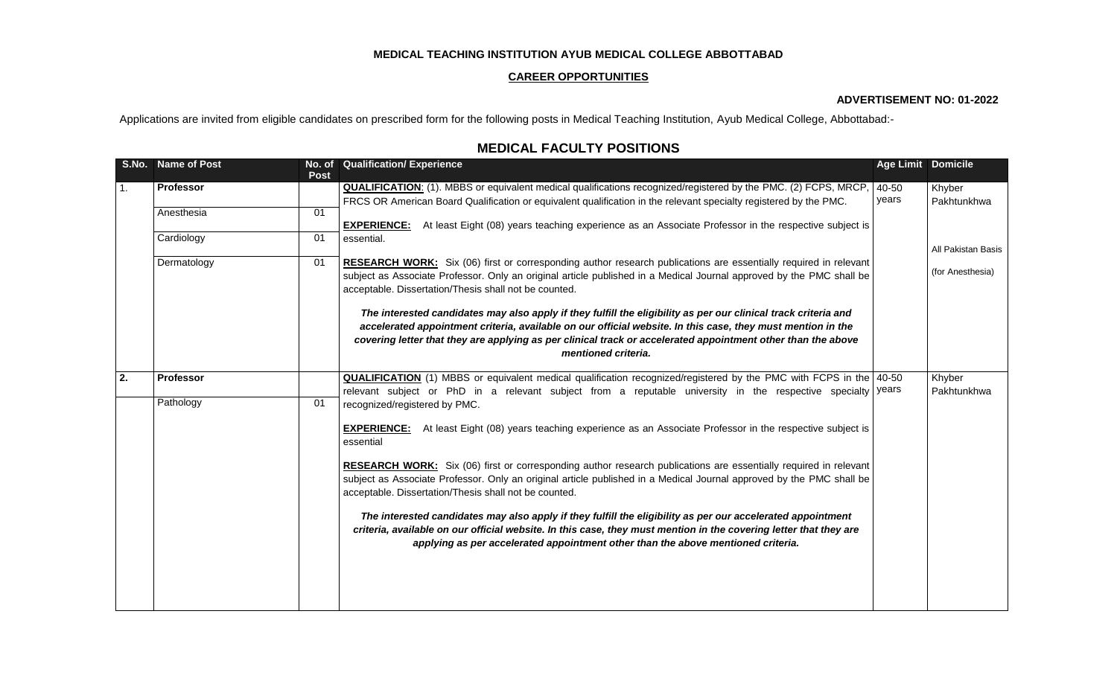## **MEDICAL TEACHING INSTITUTION AYUB MEDICAL COLLEGE ABBOTTABAD**

### **CAREER OPPORTUNITIES**

### **ADVERTISEMENT NO: 01-2022**

Applications are invited from eligible candidates on prescribed form for the following posts in Medical Teaching Institution, Ayub Medical College, Abbottabad:-

# **MEDICAL FACULTY POSITIONS**

|    | S.No. Name of Post | <b>Post</b> | No. of Qualification/ Experience                                                                                                                                                                                                         | <b>Age Limit Domicile</b> |                       |
|----|--------------------|-------------|------------------------------------------------------------------------------------------------------------------------------------------------------------------------------------------------------------------------------------------|---------------------------|-----------------------|
| 1. | Professor          |             | <b>QUALIFICATION:</b> (1). MBBS or equivalent medical qualifications recognized/registered by the PMC. (2) FCPS, MRCP,                                                                                                                   | 40-50                     | Khyber                |
|    | Anesthesia         | 01          | FRCS OR American Board Qualification or equivalent qualification in the relevant specialty registered by the PMC.                                                                                                                        | years                     | Pakhtunkhwa           |
|    |                    |             | At least Eight (08) years teaching experience as an Associate Professor in the respective subject is<br><b>EXPERIENCE:</b>                                                                                                               |                           |                       |
|    | Cardiology         | 01          | essential.                                                                                                                                                                                                                               |                           |                       |
|    |                    |             |                                                                                                                                                                                                                                          |                           | All Pakistan Basis    |
|    | Dermatology        | 01          | RESEARCH WORK: Six (06) first or corresponding author research publications are essentially required in relevant<br>subject as Associate Professor. Only an original article published in a Medical Journal approved by the PMC shall be |                           | (for Anesthesia)      |
|    |                    |             | acceptable. Dissertation/Thesis shall not be counted.                                                                                                                                                                                    |                           |                       |
|    |                    |             |                                                                                                                                                                                                                                          |                           |                       |
|    |                    |             | The interested candidates may also apply if they fulfill the eligibility as per our clinical track criteria and<br>accelerated appointment criteria, available on our official website. In this case, they must mention in the           |                           |                       |
|    |                    |             | covering letter that they are applying as per clinical track or accelerated appointment other than the above                                                                                                                             |                           |                       |
|    |                    |             | mentioned criteria.                                                                                                                                                                                                                      |                           |                       |
|    |                    |             |                                                                                                                                                                                                                                          |                           |                       |
| 2. | <b>Professor</b>   |             | <b>QUALIFICATION</b> (1) MBBS or equivalent medical qualification recognized/registered by the PMC with FCPS in the 40-50<br>relevant subject or PhD in a relevant subject from a reputable university in the respective specialty vears |                           | Khyber<br>Pakhtunkhwa |
|    | Pathology          | 01          | recognized/registered by PMC.                                                                                                                                                                                                            |                           |                       |
|    |                    |             |                                                                                                                                                                                                                                          |                           |                       |
|    |                    |             | At least Eight (08) years teaching experience as an Associate Professor in the respective subject is<br><b>EXPERIENCE:</b><br>essential                                                                                                  |                           |                       |
|    |                    |             |                                                                                                                                                                                                                                          |                           |                       |
|    |                    |             | RESEARCH WORK: Six (06) first or corresponding author research publications are essentially required in relevant                                                                                                                         |                           |                       |
|    |                    |             | subject as Associate Professor. Only an original article published in a Medical Journal approved by the PMC shall be<br>acceptable. Dissertation/Thesis shall not be counted.                                                            |                           |                       |
|    |                    |             |                                                                                                                                                                                                                                          |                           |                       |
|    |                    |             | The interested candidates may also apply if they fulfill the eligibility as per our accelerated appointment<br>criteria, available on our official website. In this case, they must mention in the covering letter that they are         |                           |                       |
|    |                    |             | applying as per accelerated appointment other than the above mentioned criteria.                                                                                                                                                         |                           |                       |
|    |                    |             |                                                                                                                                                                                                                                          |                           |                       |
|    |                    |             |                                                                                                                                                                                                                                          |                           |                       |
|    |                    |             |                                                                                                                                                                                                                                          |                           |                       |
|    |                    |             |                                                                                                                                                                                                                                          |                           |                       |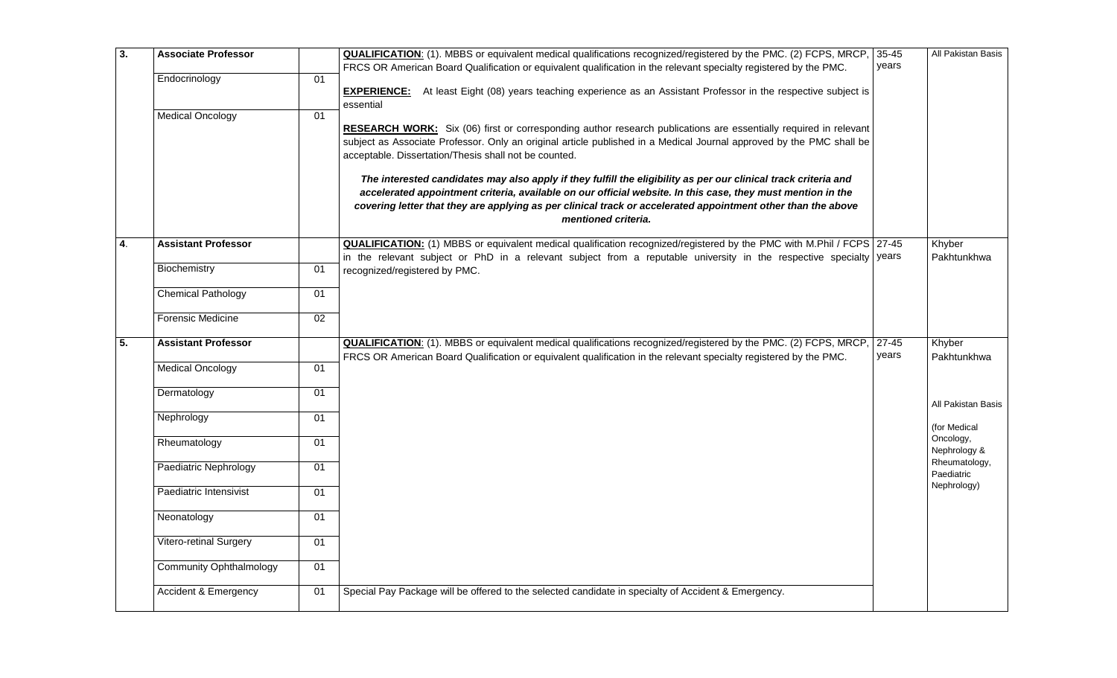| $\overline{3}$ . | <b>Associate Professor</b>      |                 | <b>QUALIFICATION:</b> (1). MBBS or equivalent medical qualifications recognized/registered by the PMC. (2) FCPS, MRCP, 35-45                                                                                                                                                                                                                                          |                    | All Pakistan Basis          |
|------------------|---------------------------------|-----------------|-----------------------------------------------------------------------------------------------------------------------------------------------------------------------------------------------------------------------------------------------------------------------------------------------------------------------------------------------------------------------|--------------------|-----------------------------|
|                  | Endocrinology                   | 01              | FRCS OR American Board Qualification or equivalent qualification in the relevant specialty registered by the PMC.                                                                                                                                                                                                                                                     | years              |                             |
|                  |                                 |                 | <b>EXPERIENCE:</b> At least Eight (08) years teaching experience as an Assistant Professor in the respective subject is<br>essential                                                                                                                                                                                                                                  |                    |                             |
|                  | <b>Medical Oncology</b>         | 01              | RESEARCH WORK: Six (06) first or corresponding author research publications are essentially required in relevant<br>subject as Associate Professor. Only an original article published in a Medical Journal approved by the PMC shall be<br>acceptable. Dissertation/Thesis shall not be counted.                                                                     |                    |                             |
|                  |                                 |                 | The interested candidates may also apply if they fulfill the eligibility as per our clinical track criteria and<br>accelerated appointment criteria, available on our official website. In this case, they must mention in the<br>covering letter that they are applying as per clinical track or accelerated appointment other than the above<br>mentioned criteria. |                    |                             |
| $\overline{4}$   | <b>Assistant Professor</b>      |                 | <b>QUALIFICATION:</b> (1) MBBS or equivalent medical qualification recognized/registered by the PMC with M.Phil / FCPS 27-45                                                                                                                                                                                                                                          |                    | Khyber                      |
|                  |                                 |                 | in the relevant subject or PhD in a relevant subject from a reputable university in the respective specialty vears                                                                                                                                                                                                                                                    |                    | Pakhtunkhwa                 |
|                  | Biochemistry                    | 01              | recognized/registered by PMC.                                                                                                                                                                                                                                                                                                                                         |                    |                             |
|                  | <b>Chemical Pathology</b>       | 01              |                                                                                                                                                                                                                                                                                                                                                                       |                    |                             |
|                  | <b>Forensic Medicine</b>        | 02              |                                                                                                                                                                                                                                                                                                                                                                       |                    |                             |
| $\overline{5}$ . | <b>Assistant Professor</b>      |                 | QUALIFICATION: (1). MBBS or equivalent medical qualifications recognized/registered by the PMC. (2) FCPS, MRCP,<br>FRCS OR American Board Qualification or equivalent qualification in the relevant specialty registered by the PMC.                                                                                                                                  | $27 - 45$<br>years | Khyber<br>Pakhtunkhwa       |
|                  | <b>Medical Oncology</b>         | 01              |                                                                                                                                                                                                                                                                                                                                                                       |                    |                             |
|                  | Dermatology                     | 01              |                                                                                                                                                                                                                                                                                                                                                                       |                    | All Pakistan Basis          |
|                  | Nephrology                      | 01              |                                                                                                                                                                                                                                                                                                                                                                       |                    | (for Medical                |
|                  | Rheumatology                    | 01              |                                                                                                                                                                                                                                                                                                                                                                       |                    | Oncology,<br>Nephrology &   |
|                  | Paediatric Nephrology           | 01              |                                                                                                                                                                                                                                                                                                                                                                       |                    | Rheumatology,<br>Paediatric |
|                  | Paediatric Intensivist          | 01              |                                                                                                                                                                                                                                                                                                                                                                       |                    | Nephrology)                 |
|                  | Neonatology                     | 01              |                                                                                                                                                                                                                                                                                                                                                                       |                    |                             |
|                  | <b>Vitero-retinal Surgery</b>   | 01              |                                                                                                                                                                                                                                                                                                                                                                       |                    |                             |
|                  | <b>Community Ophthalmology</b>  | $\overline{01}$ |                                                                                                                                                                                                                                                                                                                                                                       |                    |                             |
|                  | <b>Accident &amp; Emergency</b> | 01              | Special Pay Package will be offered to the selected candidate in specialty of Accident & Emergency.                                                                                                                                                                                                                                                                   |                    |                             |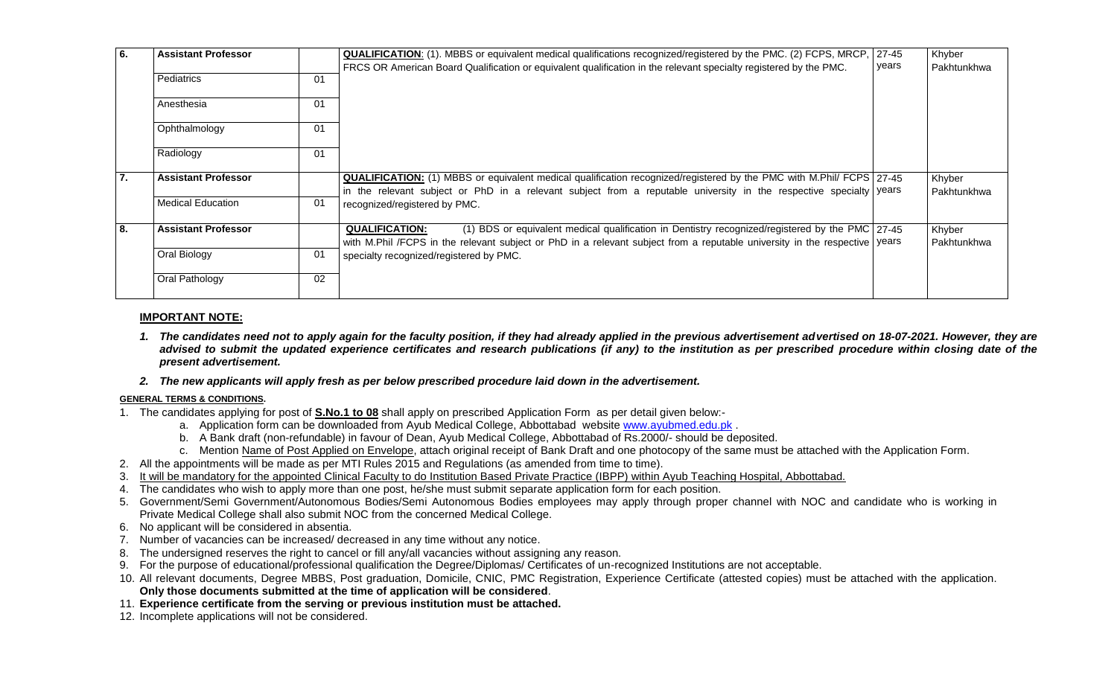| 6. | <b>Assistant Professor</b> |    | QUALIFICATION: (1). MBBS or equivalent medical qualifications recognized/registered by the PMC. (2) FCPS, MRCP, 27-45<br>FRCS OR American Board Qualification or equivalent qualification in the relevant specialty registered by the PMC.             | years | Khyber<br>Pakhtunkhwa |
|----|----------------------------|----|--------------------------------------------------------------------------------------------------------------------------------------------------------------------------------------------------------------------------------------------------------|-------|-----------------------|
|    | Pediatrics                 | 01 |                                                                                                                                                                                                                                                        |       |                       |
|    | Anesthesia                 | 01 |                                                                                                                                                                                                                                                        |       |                       |
|    | Ophthalmology              | 01 |                                                                                                                                                                                                                                                        |       |                       |
|    | Radiology                  | 01 |                                                                                                                                                                                                                                                        |       |                       |
| 7. | <b>Assistant Professor</b> |    | <b>QUALIFICATION:</b> (1) MBBS or equivalent medical qualification recognized/registered by the PMC with M.Phil/ FCPS 27-45<br>in the relevant subject or PhD in a relevant subject from a reputable university in the respective specialty vears      |       | Khyber<br>Pakhtunkhwa |
|    | <b>Medical Education</b>   | 01 | recognized/registered by PMC.                                                                                                                                                                                                                          |       |                       |
| 8. | <b>Assistant Professor</b> |    | <b>QUALIFICATION:</b><br>(1) BDS or equivalent medical qualification in Dentistry recognized/registered by the PMC 27-45<br>with M.Phil /FCPS in the relevant subject or PhD in a relevant subject from a reputable university in the respective vears |       | Khyber<br>Pakhtunkhwa |
|    | Oral Biology               | 01 | specialty recognized/registered by PMC.                                                                                                                                                                                                                |       |                       |
|    | Oral Pathology             | 02 |                                                                                                                                                                                                                                                        |       |                       |

#### **IMPORTANT NOTE:**

- *1. The candidates need not to apply again for the faculty position, if they had already applied in the previous advertisement advertised on 18-07-2021. However, they are advised to submit the updated experience certificates and research publications (if any) to the institution as per prescribed procedure within closing date of the present advertisement.*
- *2. The new applicants will apply fresh as per below prescribed procedure laid down in the advertisement.*

#### **GENERAL TERMS & CONDITIONS.**

- 1. The candidates applying for post of **S.No.1 to 08** shall apply on prescribed Application Form as per detail given below:
	- a. Application form can be downloaded from Ayub Medical College, Abbottabad website [www.ayubmed.edu.pk](http://www.ayubmed.edu.pk/) .
	- b. A Bank draft (non-refundable) in favour of Dean, Ayub Medical College, Abbottabad of Rs.2000/- should be deposited.
	- c. Mention Name of Post Applied on Envelope, attach original receipt of Bank Draft and one photocopy of the same must be attached with the Application Form.
- 2. All the appointments will be made as per MTI Rules 2015 and Regulations (as amended from time to time).
- 3. It will be mandatory for the appointed Clinical Faculty to do Institution Based Private Practice (IBPP) within Ayub Teaching Hospital, Abbottabad.
- 4. The candidates who wish to apply more than one post, he/she must submit separate application form for each position.
- 5. Government/Semi Government/Autonomous Bodies/Semi Autonomous Bodies employees may apply through proper channel with NOC and candidate who is working in Private Medical College shall also submit NOC from the concerned Medical College.
- 6. No applicant will be considered in absentia.
- 7. Number of vacancies can be increased/ decreased in any time without any notice.
- 8. The undersigned reserves the right to cancel or fill any/all vacancies without assigning any reason.
- 9. For the purpose of educational/professional qualification the Degree/Diplomas/ Certificates of un-recognized Institutions are not acceptable.
- 10. All relevant documents, Degree MBBS, Post graduation, Domicile, CNIC, PMC Registration, Experience Certificate (attested copies) must be attached with the application. **Only those documents submitted at the time of application will be considered**.
- 11. **Experience certificate from the serving or previous institution must be attached.**
- 12. Incomplete applications will not be considered.